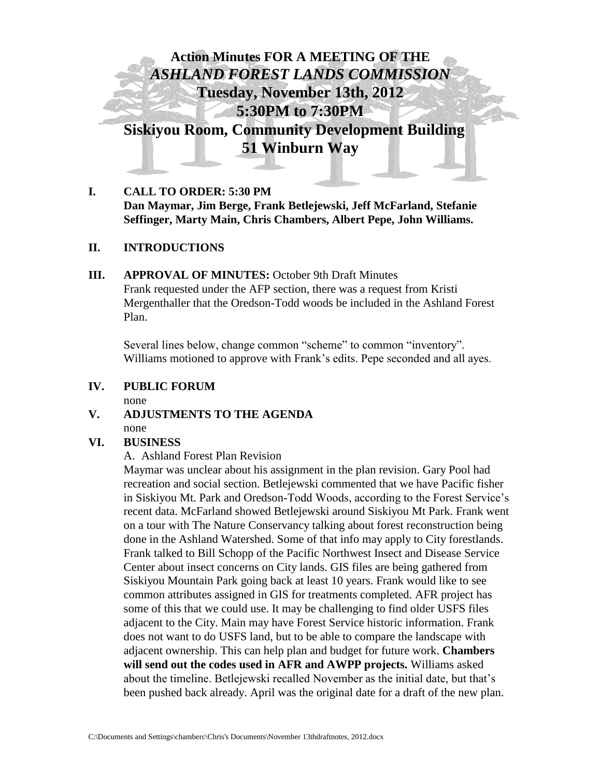

## **I. CALL TO ORDER: 5:30 PM Dan Maymar, Jim Berge, Frank Betlejewski, Jeff McFarland, Stefanie Seffinger, Marty Main, Chris Chambers, Albert Pepe, John Williams.**

#### **II. INTRODUCTIONS**

### **III. APPROVAL OF MINUTES:** October 9th Draft Minutes Frank requested under the AFP section, there was a request from Kristi Mergenthaller that the Oredson-Todd woods be included in the Ashland Forest Plan.

Several lines below, change common "scheme" to common "inventory". Williams motioned to approve with Frank's edits. Pepe seconded and all ayes.

# **IV. PUBLIC FORUM**

none

## **V. ADJUSTMENTS TO THE AGENDA** none

#### **VI. BUSINESS**

A. Ashland Forest Plan Revision

Maymar was unclear about his assignment in the plan revision. Gary Pool had recreation and social section. Betlejewski commented that we have Pacific fisher in Siskiyou Mt. Park and Oredson-Todd Woods, according to the Forest Service's recent data. McFarland showed Betlejewski around Siskiyou Mt Park. Frank went on a tour with The Nature Conservancy talking about forest reconstruction being done in the Ashland Watershed. Some of that info may apply to City forestlands. Frank talked to Bill Schopp of the Pacific Northwest Insect and Disease Service Center about insect concerns on City lands. GIS files are being gathered from Siskiyou Mountain Park going back at least 10 years. Frank would like to see common attributes assigned in GIS for treatments completed. AFR project has some of this that we could use. It may be challenging to find older USFS files adjacent to the City. Main may have Forest Service historic information. Frank does not want to do USFS land, but to be able to compare the landscape with adjacent ownership. This can help plan and budget for future work. **Chambers will send out the codes used in AFR and AWPP projects.** Williams asked about the timeline. Betlejewski recalled November as the initial date, but that's been pushed back already. April was the original date for a draft of the new plan.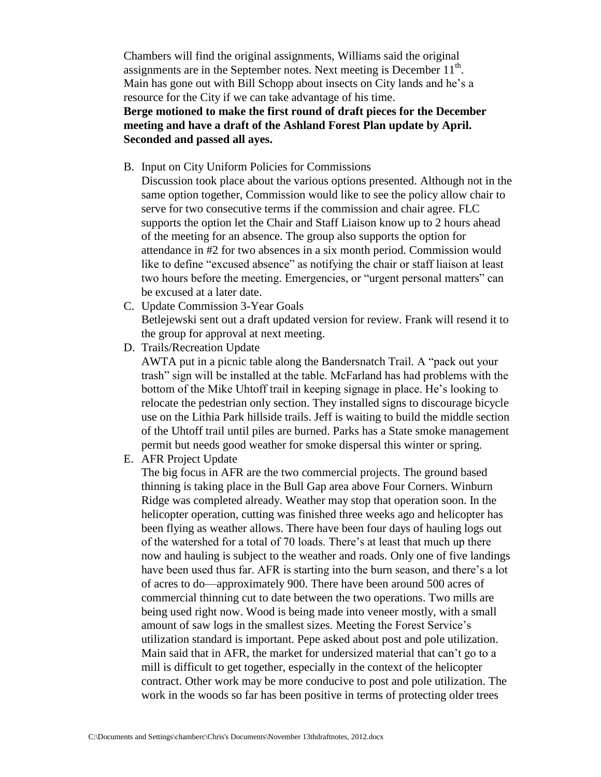Chambers will find the original assignments, Williams said the original assignments are in the September notes. Next meeting is December  $11<sup>th</sup>$ . Main has gone out with Bill Schopp about insects on City lands and he's a resource for the City if we can take advantage of his time. **Berge motioned to make the first round of draft pieces for the December** 

# **meeting and have a draft of the Ashland Forest Plan update by April. Seconded and passed all ayes.**

- B. Input on City Uniform Policies for Commissions
	- Discussion took place about the various options presented. Although not in the same option together, Commission would like to see the policy allow chair to serve for two consecutive terms if the commission and chair agree. FLC supports the option let the Chair and Staff Liaison know up to 2 hours ahead of the meeting for an absence. The group also supports the option for attendance in #2 for two absences in a six month period. Commission would like to define "excused absence" as notifying the chair or staff liaison at least two hours before the meeting. Emergencies, or "urgent personal matters" can be excused at a later date.
- C. Update Commission 3-Year Goals Betlejewski sent out a draft updated version for review. Frank will resend it to the group for approval at next meeting.
- D. Trails/Recreation Update

AWTA put in a picnic table along the Bandersnatch Trail. A "pack out your trash" sign will be installed at the table. McFarland has had problems with the bottom of the Mike Uhtoff trail in keeping signage in place. He's looking to relocate the pedestrian only section. They installed signs to discourage bicycle use on the Lithia Park hillside trails. Jeff is waiting to build the middle section of the Uhtoff trail until piles are burned. Parks has a State smoke management permit but needs good weather for smoke dispersal this winter or spring.

E. AFR Project Update

The big focus in AFR are the two commercial projects. The ground based thinning is taking place in the Bull Gap area above Four Corners. Winburn Ridge was completed already. Weather may stop that operation soon. In the helicopter operation, cutting was finished three weeks ago and helicopter has been flying as weather allows. There have been four days of hauling logs out of the watershed for a total of 70 loads. There's at least that much up there now and hauling is subject to the weather and roads. Only one of five landings have been used thus far. AFR is starting into the burn season, and there's a lot of acres to do—approximately 900. There have been around 500 acres of commercial thinning cut to date between the two operations. Two mills are being used right now. Wood is being made into veneer mostly, with a small amount of saw logs in the smallest sizes. Meeting the Forest Service's utilization standard is important. Pepe asked about post and pole utilization. Main said that in AFR, the market for undersized material that can't go to a mill is difficult to get together, especially in the context of the helicopter contract. Other work may be more conducive to post and pole utilization. The work in the woods so far has been positive in terms of protecting older trees